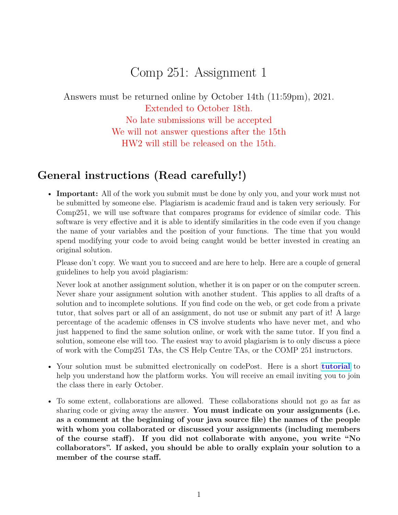# Comp 251: Assignment 1

Answers must be returned online by October 14th (11:59pm), 2021. Extended to October 18th. No late submissions will be accepted We will not answer questions after the 15th HW2 will still be released on the 15th.

## **General instructions (Read carefully!)**

• **Important:** All of the work you submit must be done by only you, and your work must not be submitted by someone else. Plagiarism is academic fraud and is taken very seriously. For Comp251, we will use software that compares programs for evidence of similar code. This software is very effective and it is able to identify similarities in the code even if you change the name of your variables and the position of your functions. The time that you would spend modifying your code to avoid being caught would be better invested in creating an original solution.

Please don't copy. We want you to succeed and are here to help. Here are a couple of general guidelines to help you avoid plagiarism:

Never look at another assignment solution, whether it is on paper or on the computer screen. Never share your assignment solution with another student. This applies to all drafts of a solution and to incomplete solutions. If you find code on the web, or get code from a private tutor, that solves part or all of an assignment, do not use or submit any part of it! A large percentage of the academic offenses in CS involve students who have never met, and who just happened to find the same solution online, or work with the same tutor. If you find a solution, someone else will too. The easiest way to avoid plagiarism is to only discuss a piece of work with the Comp251 TAs, the CS Help Centre TAs, or the COMP 251 instructors.

- Your solution must be submitted electronically on codePost. Here is a short **[tutorial](https://youtu.be/Sn-6PopS70k)** to help you understand how the platform works. You will receive an email inviting you to join the class there in early October.
- To some extent, collaborations are allowed. These collaborations should not go as far as sharing code or giving away the answer. **You must indicate on your assignments (i.e. as a comment at the beginning of your java source file) the names of the people with whom you collaborated or discussed your assignments (including members of the course staff). If you did not collaborate with anyone, you write "No collaborators". If asked, you should be able to orally explain your solution to a member of the course staff.**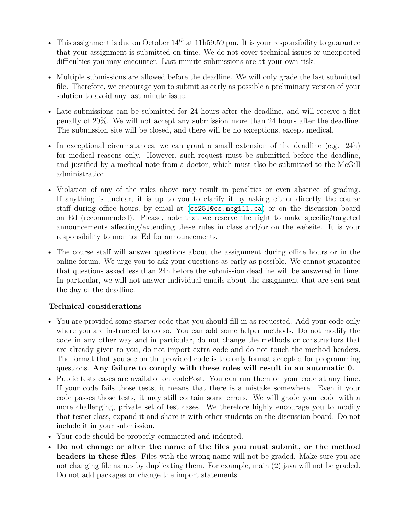- This assignment is due on October  $14^{th}$  at 11h59:59 pm. It is your responsibility to guarantee that your assignment is submitted on time. We do not cover technical issues or unexpected difficulties you may encounter. Last minute submissions are at your own risk.
- Multiple submissions are allowed before the deadline. We will only grade the last submitted file. Therefore, we encourage you to submit as early as possible a preliminary version of your solution to avoid any last minute issue.
- Late submissions can be submitted for 24 hours after the deadline, and will receive a flat penalty of 20%. We will not accept any submission more than 24 hours after the deadline. The submission site will be closed, and there will be no exceptions, except medical.
- In exceptional circumstances, we can grant a small extension of the deadline (e.g. 24h) for medical reasons only. However, such request must be submitted before the deadline, and justified by a medical note from a doctor, which must also be submitted to the McGill administration.
- Violation of any of the rules above may result in penalties or even absence of grading. If anything is unclear, it is up to you to clarify it by asking either directly the course staff during office hours, by email at (<cs251@cs.mcgill.ca>) or on the discussion board on Ed (recommended). Please, note that we reserve the right to make specific/targeted announcements affecting/extending these rules in class and/or on the website. It is your responsibility to monitor Ed for announcements.
- The course staff will answer questions about the assignment during office hours or in the online forum. We urge you to ask your questions as early as possible. We cannot guarantee that questions asked less than 24h before the submission deadline will be answered in time. In particular, we will not answer individual emails about the assignment that are sent sent the day of the deadline.

### **Technical considerations**

- You are provided some starter code that you should fill in as requested. Add your code only where you are instructed to do so. You can add some helper methods. Do not modify the code in any other way and in particular, do not change the methods or constructors that are already given to you, do not import extra code and do not touch the method headers. The format that you see on the provided code is the only format accepted for programming questions. **Any failure to comply with these rules will result in an automatic 0.**
- Public tests cases are available on codePost. You can run them on your code at any time. If your code fails those tests, it means that there is a mistake somewhere. Even if your code passes those tests, it may still contain some errors. We will grade your code with a more challenging, private set of test cases. We therefore highly encourage you to modify that tester class, expand it and share it with other students on the discussion board. Do not include it in your submission.
- Your code should be properly commented and indented.
- **Do not change or alter the name of the files you must submit, or the method headers in these files**. Files with the wrong name will not be graded. Make sure you are not changing file names by duplicating them. For example, main (2).java will not be graded. Do not add packages or change the import statements.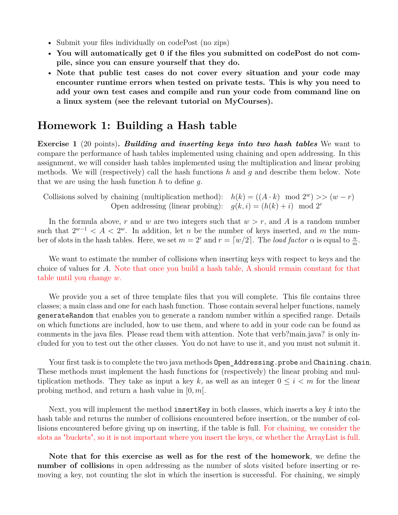- Submit your files individually on codePost (no zips)
- **You will automatically get 0 if the files you submitted on codePost do not compile, since you can ensure yourself that they do.**
- **Note that public test cases do not cover every situation and your code may encounter runtime errors when tested on private tests. This is why you need to add your own test cases and compile and run your code from command line on a linux system (see the relevant tutorial on MyCourses).**

### **Homework 1: Building a Hash table**

**Exercise 1** (20 points)**.** *Building and inserting keys into two hash tables* We want to compare the performance of hash tables implemented using chaining and open addressing. In this assignment, we will consider hash tables implemented using the multiplication and linear probing methods. We will (respectively) call the hash functions *h* and *g* and describe them below. Note that we are using the hash function *h* to define *g*.

Collisions solved by chaining (multiplication method):  $h(k) = ((A \cdot k) \mod 2^w) \gg (w - r)$ Open addressing (linear probing):  $g(k, i) = (h(k) + i) \mod 2^r$ 

In the formula above,  $r$  and  $w$  are two integers such that  $w > r$ , and  $A$  is a random number such that  $2^{w-1} < A < 2^w$ . In addition, let *n* be the number of keys inserted, and *m* the number of slots in the hash tables. Here, we set  $m = 2^r$  and  $r = \lceil w/2 \rceil$ . The *load factor*  $\alpha$  is equal to  $\frac{n}{m}$ .

We want to estimate the number of collisions when inserting keys with respect to keys and the choice of values for *A*. Note that once you build a hash table, A should remain constant for that table until you change *w*.

We provide you a set of three template files that you will complete. This file contains three classes; a main class and one for each hash function. Those contain several helper functions, namely generateRandom that enables you to generate a random number within a specified range. Details on which functions are included, how to use them, and where to add in your code can be found as comments in the java files. Please read them with attention. Note that verb?main.java? is only included for you to test out the other classes. You do not have to use it, and you must not submit it.

Your first task is to complete the two java methods Open Addressing.probe and Chaining.chain. These methods must implement the hash functions for (respectively) the linear probing and multiplication methods. They take as input a key k, as well as an integer  $0 \leq i \leq m$  for the linear probing method, and return a hash value in [0*, m*[.

Next, you will implement the method insertKey in both classes, which inserts a key *k* into the hash table and returns the number of collisions encountered before insertion, or the number of collisions encountered before giving up on inserting, if the table is full. For chaining, we consider the slots as "buckets", so it is not important where you insert the keys, or whether the ArrayList is full.

**Note that for this exercise as well as for the rest of the homework**, we define the **number of collision**s in open addressing as the number of slots visited before inserting or removing a key, not counting the slot in which the insertion is successful. For chaining, we simply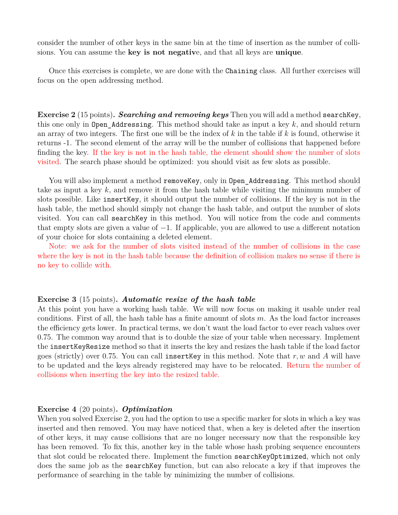consider the number of other keys in the same bin at the time of insertion as the number of collisions. You can assume the **key is not negativ**e, and that all keys are **unique**.

Once this exercises is complete, we are done with the Chaining class. All further exercises will focus on the open addressing method.

**Exercise 2** (15 points)**.** *Searching and removing keys* Then you will add a method searchKey, this one only in Open Addressing. This method should take as input a key  $k$ , and should return an array of two integers. The first one will be the index of *k* in the table if *k* is found, otherwise it returns -1. The second element of the array will be the number of collisions that happened before finding the key. If the key is not in the hash table, the element should show the number of slots visited. The search phase should be optimized: you should visit as few slots as possible.

You will also implement a method removeKey, only in Open Addressing. This method should take as input a key *k*, and remove it from the hash table while visiting the minimum number of slots possible. Like insertKey, it should output the number of collisions. If the key is not in the hash table, the method should simply not change the hash table, and output the number of slots visited. You can call searchKey in this method. You will notice from the code and comments that empty slots are given a value of  $-1$ . If applicable, you are allowed to use a different notation of your choice for slots containing a deleted element.

Note: we ask for the number of slots visited instead of the number of collisions in the case where the key is not in the hash table because the definition of collision makes no sense if there is no key to collide with.

#### **Exercise 3** (15 points)**.** *Automatic resize of the hash table*

At this point you have a working hash table. We will now focus on making it usable under real conditions. First of all, the hash table has a finite amount of slots *m*. As the load factor increases the efficiency gets lower. In practical terms, we don't want the load factor to ever reach values over 0.75. The common way around that is to double the size of your table when necessary. Implement the insertKeyResize method so that it inserts the key and resizes the hash table if the load factor goes (strictly) over 0.75. You can call insertKey in this method. Note that *r, w* and *A* will have to be updated and the keys already registered may have to be relocated. Return the number of collisions when inserting the key into the resized table.

#### **Exercise 4** (20 points)**.** *Optimization*

When you solved Exercise 2, you had the option to use a specific marker for slots in which a key was inserted and then removed. You may have noticed that, when a key is deleted after the insertion of other keys, it may cause collisions that are no longer necessary now that the responsible key has been removed. To fix this, another key in the table whose hash probing sequence encounters that slot could be relocated there. Implement the function searchKeyOptimized, which not only does the same job as the searchKey function, but can also relocate a key if that improves the performance of searching in the table by minimizing the number of collisions.